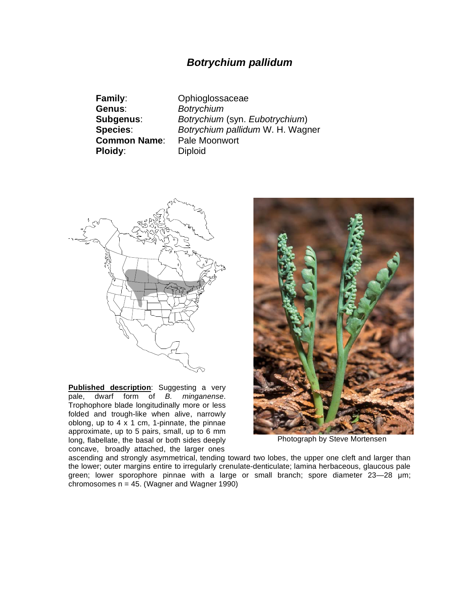## *Botrychium pallidum*

**Family**: Ophioglossaceae **Genus**: *Botrychium* **Ploidy:** Diploid

**Subgenus**: *Botrychium* (syn. *Eubotrychium*) **Species**: *Botrychium pallidum* W. H. Wagner **Common Name**: Pale Moonwort



**Published description**: Suggesting a very pale, dwarf form of *B. minganense*. Trophophore blade longitudinally more or less folded and trough-like when alive, narrowly oblong, up to  $4 \times 1$  cm, 1-pinnate, the pinnae approximate, up to 5 pairs, small, up to 6 mm long, flabellate, the basal or both sides deeply concave, broadly attached, the larger ones



Photograph by Steve Mortensen

ascending and strongly asymmetrical, tending toward two lobes, the upper one cleft and larger than the lower; outer margins entire to irregularly crenulate-denticulate; lamina herbaceous, glaucous pale green; lower sporophore pinnae with a large or small branch; spore diameter  $23-28$  µm; chromosomes n = 45. (Wagner and Wagner 1990)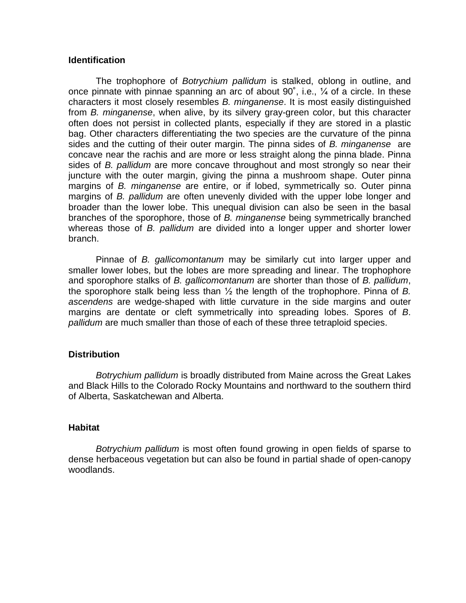## **Identification**

The trophophore of *Botrychium pallidum* is stalked, oblong in outline, and once pinnate with pinnae spanning an arc of about  $90^\circ$ , i.e.,  $\frac{1}{4}$  of a circle. In these characters it most closely resembles *B. minganense*. It is most easily distinguished from *B. minganense*, when alive, by its silvery gray-green color, but this character often does not persist in collected plants, especially if they are stored in a plastic bag. Other characters differentiating the two species are the curvature of the pinna sides and the cutting of their outer margin. The pinna sides of *B. minganense* are concave near the rachis and are more or less straight along the pinna blade. Pinna sides of *B. pallidum* are more concave throughout and most strongly so near their juncture with the outer margin, giving the pinna a mushroom shape. Outer pinna margins of *B. minganense* are entire, or if lobed, symmetrically so. Outer pinna margins of *B. pallidum* are often unevenly divided with the upper lobe longer and broader than the lower lobe. This unequal division can also be seen in the basal branches of the sporophore, those of *B. minganense* being symmetrically branched whereas those of *B. pallidum* are divided into a longer upper and shorter lower branch.

Pinnae of *B. gallicomontanum* may be similarly cut into larger upper and smaller lower lobes, but the lobes are more spreading and linear. The trophophore and sporophore stalks of *B. gallicomontanum* are shorter than those of *B. pallidum*, the sporophore stalk being less than  $\frac{1}{2}$  the length of the trophophore. Pinna of *B*. *ascendens* are wedge-shaped with little curvature in the side margins and outer margins are dentate or cleft symmetrically into spreading lobes. Spores of *B*. *pallidum* are much smaller than those of each of these three tetraploid species.

## **Distribution**

*Botrychium pallidum* is broadly distributed from Maine across the Great Lakes and Black Hills to the Colorado Rocky Mountains and northward to the southern third of Alberta, Saskatchewan and Alberta.

## **Habitat**

*Botrychium pallidum* is most often found growing in open fields of sparse to dense herbaceous vegetation but can also be found in partial shade of open-canopy woodlands.